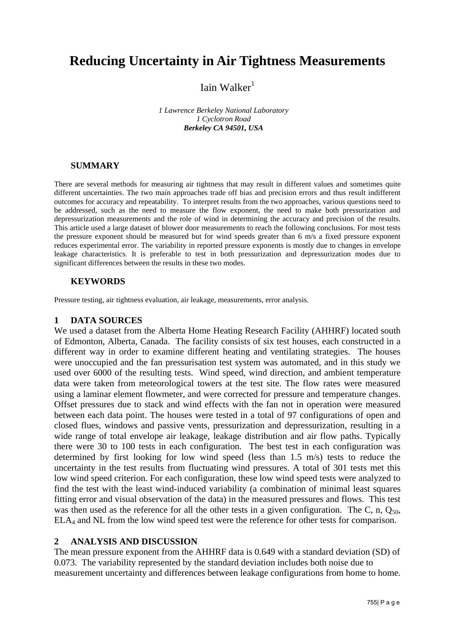# **Reducing Uncertainty in Air Tightness Measurements**

Iain Walker $<sup>1</sup>$ </sup>

*1 Lawrence Berkeley National Laboratory 1 Cyclotron Road Berkeley CA 94501, USA*

## **SUMMARY**

There are several methods for measuring air tightness that may result in different values and sometimes quite different uncertainties. The two main approaches trade off bias and precision errors and thus result indifferent outcomes for accuracy and repeatability. To interpret results from the two approaches, various questions need to be addressed, such as the need to measure the flow exponent, the need to make both pressurization and depressurization measurements and the role of wind in determining the accuracy and precision of the results. This article used a large dataset of blower door measurements to reach the following conclusions. For most tests the pressure exponent should be measured but for wind speeds greater than 6 m/s a fixed pressure exponent reduces experimental error. The variability in reported pressure exponents is mostly due to changes in envelope leakage characteristics. It is preferable to test in both pressurization and depressurization modes due to significant differences between the results in these two modes.

## **KEYWORDS**

Pressure testing, air tightness evaluation, air leakage, measurements, error analysis.

#### **1 DATA SOURCES**

We used a dataset from the Alberta Home Heating Research Facility (AHHRF) located south of Edmonton, Alberta, Canada. The facility consists of six test houses, each constructed in a different way in order to examine different heating and ventilating strategies. The houses were unoccupied and the fan pressurisation test system was automated, and in this study we used over 6000 of the resulting tests. Wind speed, wind direction, and ambient temperature data were taken from meteorological towers at the test site. The flow rates were measured using a laminar element flowmeter, and were corrected for pressure and temperature changes. Offset pressures due to stack and wind effects with the fan not in operation were measured between each data point. The houses were tested in a total of 97 configurations of open and closed flues, windows and passive vents, pressurization and depressurization, resulting in a wide range of total envelope air leakage, leakage distribution and air flow paths. Typically there were 30 to 100 tests in each configuration. The best test in each configuration was determined by first looking for low wind speed (less than 1.5 m/s) tests to reduce the uncertainty in the test results from fluctuating wind pressures. A total of 301 tests met this low wind speed criterion. For each configuration, these low wind speed tests were analyzed to find the test with the least wind-induced variability (a combination of minimal least squares fitting error and visual observation of the data) in the measured pressures and flows. This test was then used as the reference for all the other tests in a given configuration. The C, n,  $Q_{50}$ , ELA<sup>4</sup> and NL from the low wind speed test were the reference for other tests for comparison.

#### **2 ANALYSIS AND DISCUSSION**

The mean pressure exponent from the AHHRF data is 0.649 with a standard deviation (SD) of 0.073. The variability represented by the standard deviation includes both noise due to measurement uncertainty and differences between leakage configurations from home to home.